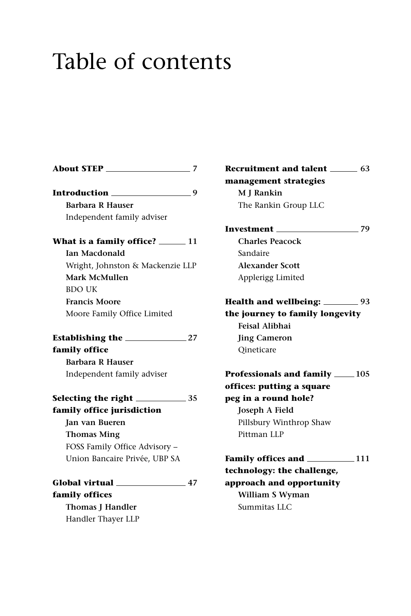## Table of contents

| About STEP 27                         |
|---------------------------------------|
| Introduction ______________________9  |
| <b>Barbara R Hauser</b>               |
| Independent family adviser            |
| What is a family office? ______ 11    |
| <b>Ian Macdonald</b>                  |
| Wright, Johnston & Mackenzie LLP      |
| Mark McMullen                         |
| <b>BDO UK</b>                         |
| <b>Francis Moore</b>                  |
| Moore Family Office Limited           |
| Establishing the $\_\_\_\_\_$ 27      |
| family office                         |
| <b>Barbara R Hauser</b>               |
| Independent family adviser            |
|                                       |
| family office jurisdiction            |
| <b>Ian van Bueren</b>                 |
| <b>Thomas Ming</b>                    |
| FOSS Family Office Advisory -         |
| Union Bancaire Privée, UBP SA         |
| Global virtual ___________________ 47 |
| family offices                        |
| <b>Thomas J Handler</b>               |
| Handler Thayer LLP                    |

**Recruitment and talent 63 management strategies M J Rankin** The Rankin Group LLC

**Investment 79 Charles Peacock**  Sandaire **Alexander Scott** Applerigg Limited **Health and wellbeing: 93 the journey to family longevity Feisal Alibhai Jing Cameron**

**Professionals and family** 105 **offices: putting a square peg in a round hole? Joseph A Field** Pillsbury Winthrop Shaw Pittman LLP

Qineticare

**Family offices and 111 technology: the challenge, approach and opportunity William S Wyman** Summitas LLC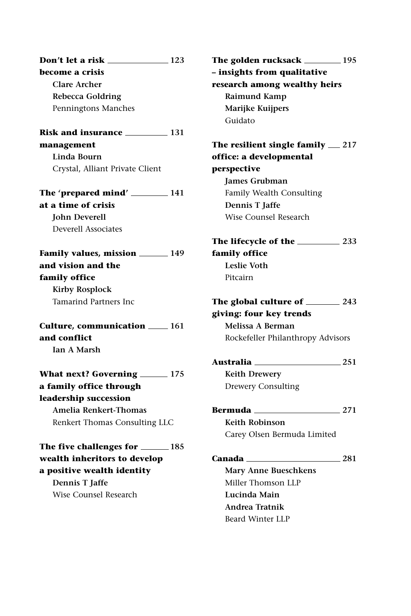| Don't let a risk _____<br>$\sim$ 123 |  |
|--------------------------------------|--|
| become a crisis                      |  |
| <b>Clare Archer</b>                  |  |
| <b>Rebecca Goldring</b>              |  |
| Penningtons Manches                  |  |
| Risk and insurance 131               |  |
| management                           |  |
| Linda Bourn                          |  |
| Crystal, Alliant Private Client      |  |
| The 'prepared mind' $\_\_\_\_\_$ 141 |  |
| at a time of crisis                  |  |
| <b>John Deverell</b>                 |  |
| Deverell Associates                  |  |
| Family values, mission ______ 149    |  |
| and vision and the                   |  |
| family office                        |  |
| <b>Kirby Rosplock</b>                |  |
| Tamarind Partners Inc                |  |
| Culture, communication ____ 161      |  |
| and conflict                         |  |
| <b>Ian A Marsh</b>                   |  |
| What next? Governing ______ 175      |  |
| a family office through              |  |
| leadership succession                |  |
| Amelia Renkert-Thomas                |  |
| Renkert Thomas Consulting LLC        |  |
| The five challenges for _______ 185  |  |
| wealth inheritors to develop         |  |
| a positive wealth identity           |  |
| Dennis T Jaffe                       |  |

Wise Counsel Research

**The golden rucksack 195 – insights from qualitative research among wealthy heirs Raimund Kamp Marijke Kuijpers** Guidato

**The resilient single family 217 office: a developmental perspective James Grubman** Family Wealth Consulting **Dennis T Jaffe** Wise Counsel Research

**The lifecycle of the 233 family office Leslie Voth** Pitcairn

**The global culture of 243 giving: four key trends Melissa A Berman** Rockefeller Philanthropy Advisors

**Australia 251 Keith Drewery** Drewery Consulting

**Bermuda 271**

**Keith Robinson** Carey Olsen Bermuda Limited

**Canada 281**

**Mary Anne Bueschkens** Miller Thomson LLP **Lucinda Main Andrea Tratnik** Beard Winter LLP